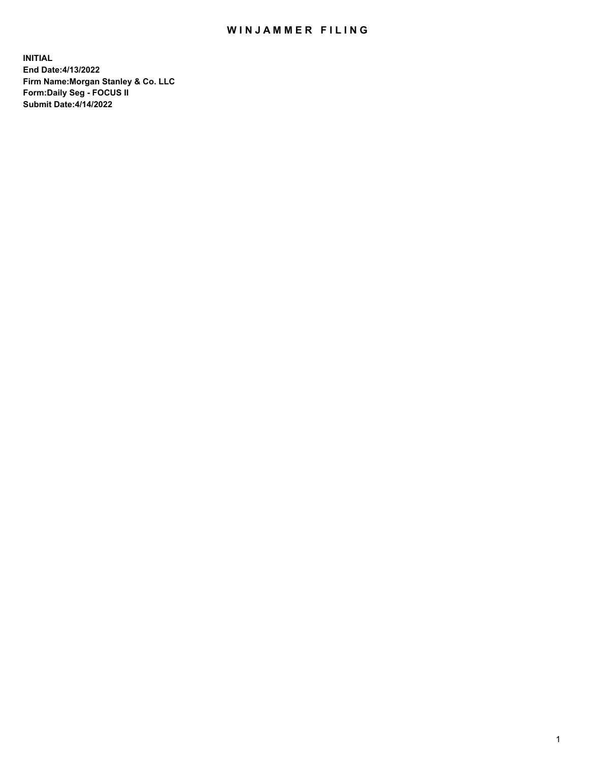## WIN JAMMER FILING

**INITIAL End Date:4/13/2022 Firm Name:Morgan Stanley & Co. LLC Form:Daily Seg - FOCUS II Submit Date:4/14/2022**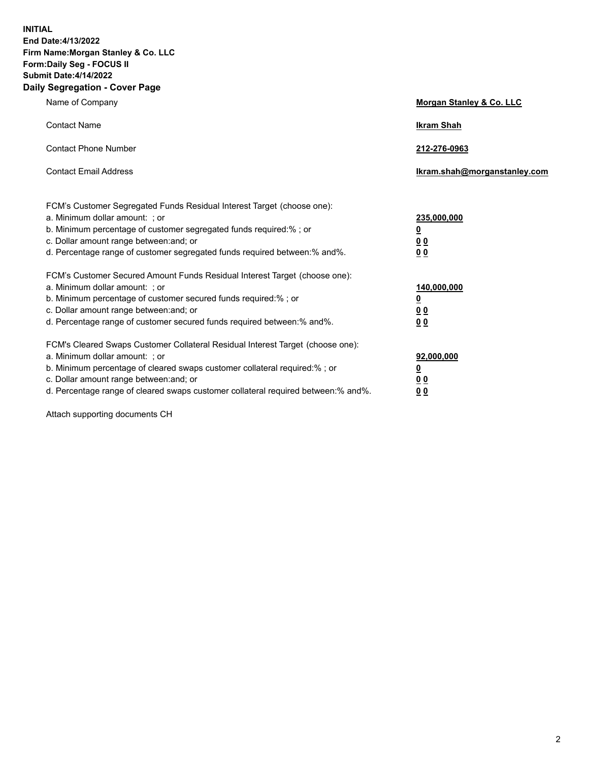**INITIAL End Date:4/13/2022 Firm Name:Morgan Stanley & Co. LLC Form:Daily Seg - FOCUS II Submit Date:4/14/2022 Daily Segregation - Cover Page**

| Name of Company                                                                                                                                                                                                                                                                                                                | <b>Morgan Stanley &amp; Co. LLC</b>                    |
|--------------------------------------------------------------------------------------------------------------------------------------------------------------------------------------------------------------------------------------------------------------------------------------------------------------------------------|--------------------------------------------------------|
| <b>Contact Name</b>                                                                                                                                                                                                                                                                                                            | <b>Ikram Shah</b>                                      |
| <b>Contact Phone Number</b>                                                                                                                                                                                                                                                                                                    | 212-276-0963                                           |
| <b>Contact Email Address</b>                                                                                                                                                                                                                                                                                                   | Ikram.shah@morganstanley.com                           |
| FCM's Customer Segregated Funds Residual Interest Target (choose one):<br>a. Minimum dollar amount: : or<br>b. Minimum percentage of customer segregated funds required:%; or<br>c. Dollar amount range between: and; or<br>d. Percentage range of customer segregated funds required between:% and%.                          | 235,000,000<br><u>0</u><br><u>00</u><br><u>00</u>      |
| FCM's Customer Secured Amount Funds Residual Interest Target (choose one):<br>a. Minimum dollar amount: ; or<br>b. Minimum percentage of customer secured funds required:%; or<br>c. Dollar amount range between: and; or<br>d. Percentage range of customer secured funds required between:% and%.                            | 140,000,000<br><u>0</u><br><u>00</u><br>0 <sub>0</sub> |
| FCM's Cleared Swaps Customer Collateral Residual Interest Target (choose one):<br>a. Minimum dollar amount: ; or<br>b. Minimum percentage of cleared swaps customer collateral required:% ; or<br>c. Dollar amount range between: and; or<br>d. Percentage range of cleared swaps customer collateral required between:% and%. | 92,000,000<br><u>0</u><br><u>00</u><br>00              |

Attach supporting documents CH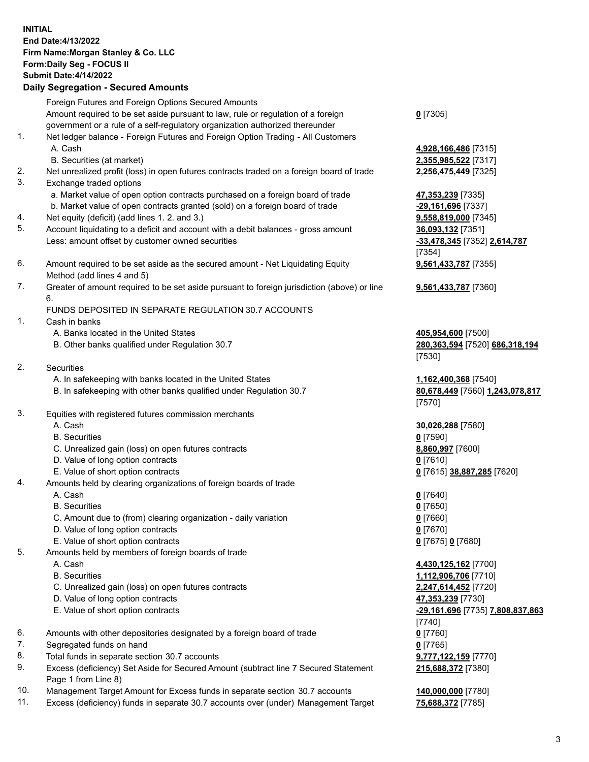## **INITIAL End Date:4/13/2022 Firm Name:Morgan Stanley & Co. LLC Form:Daily Seg - FOCUS II Submit Date:4/14/2022 Daily Segregation - Secured Amounts** Foreign Futures and Foreign Options Secured Amounts

Amount required to be set aside pursuant to law, rule or regulation of a foreign government or a rule of a self-regulatory organization authorized thereunder

- 1. Net ledger balance Foreign Futures and Foreign Option Trading All Customers A. Cash **4,928,166,486** [7315]
	- B. Securities (at market) **2,355,985,522** [7317]
- 2. Net unrealized profit (loss) in open futures contracts traded on a foreign board of trade **2,256,475,449** [7325]
- 3. Exchange traded options
	- a. Market value of open option contracts purchased on a foreign board of trade **47,353,239** [7335]
	- b. Market value of open contracts granted (sold) on a foreign board of trade **-29,161,696** [7337]
- 4. Net equity (deficit) (add lines 1. 2. and 3.) **9,558,819,000** [7345]
- 5. Account liquidating to a deficit and account with a debit balances gross amount **36,093,132** [7351] Less: amount offset by customer owned securities **-33,478,345** [7352] **2,614,787**
- 6. Amount required to be set aside as the secured amount Net Liquidating Equity Method (add lines 4 and 5)
- 7. Greater of amount required to be set aside pursuant to foreign jurisdiction (above) or line 6.

## FUNDS DEPOSITED IN SEPARATE REGULATION 30.7 ACCOUNTS

- 1. Cash in banks
	- A. Banks located in the United States **405,954,600** [7500]
	- B. Other banks qualified under Regulation 30.7 **280,363,594** [7520] **686,318,194**
- 2. Securities
	- A. In safekeeping with banks located in the United States **1,162,400,368** [7540]
	- B. In safekeeping with other banks qualified under Regulation 30.7 **80,678,449** [7560] **1,243,078,817**
- 3. Equities with registered futures commission merchants
	-
	- B. Securities **0** [7590]
	- C. Unrealized gain (loss) on open futures contracts **8,860,997** [7600]
	- D. Value of long option contracts **0** [7610]
	- E. Value of short option contracts **0** [7615] **38,887,285** [7620]
- 4. Amounts held by clearing organizations of foreign boards of trade
	-
	- B. Securities **0** [7650]
	- C. Amount due to (from) clearing organization daily variation **0** [7660]
	- D. Value of long option contracts **0** [7670]
	- E. Value of short option contracts **0** [7675] **0** [7680]
- 5. Amounts held by members of foreign boards of trade
	-
	-
	- C. Unrealized gain (loss) on open futures contracts **2,247,614,452** [7720]
	- D. Value of long option contracts **47,353,239** [7730]
	- E. Value of short option contracts **-29,161,696** [7735] **7,808,837,863**
- 6. Amounts with other depositories designated by a foreign board of trade **0** [7760]
- 7. Segregated funds on hand **0** [7765]
- 8. Total funds in separate section 30.7 accounts **9,777,122,159** [7770]
- 9. Excess (deficiency) Set Aside for Secured Amount (subtract line 7 Secured Statement Page 1 from Line 8)
- 10. Management Target Amount for Excess funds in separate section 30.7 accounts **140,000,000** [7780]
- 11. Excess (deficiency) funds in separate 30.7 accounts over (under) Management Target **75,688,372** [7785]

|  | v. |
|--|----|
|--|----|

[7354] **9,561,433,787** [7355]

**9,561,433,787** [7360]

[7530]

[7570]

A. Cash **30,026,288** [7580]

A. Cash **0** [7640]

 A. Cash **4,430,125,162** [7700] B. Securities **1,112,906,706** [7710] [7740] **215,688,372** [7380]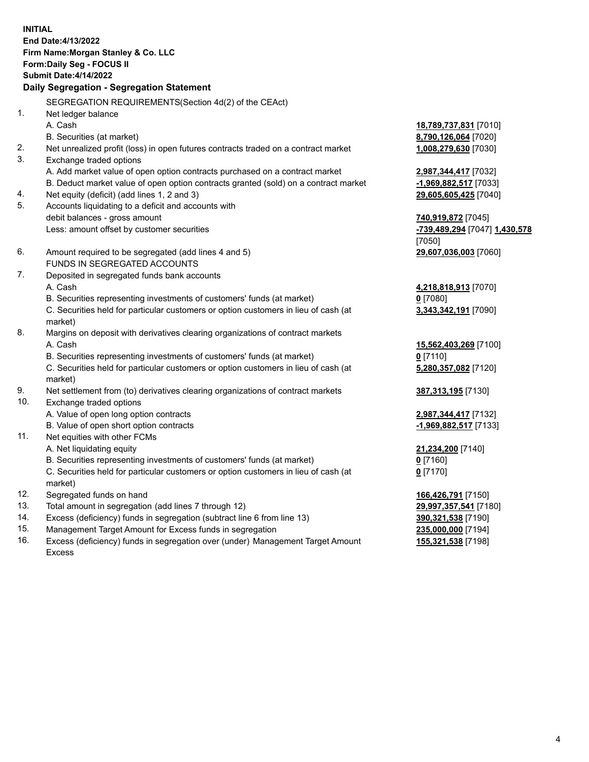**INITIAL End Date:4/13/2022 Firm Name:Morgan Stanley & Co. LLC Form:Daily Seg - FOCUS II Submit Date:4/14/2022 Daily Segregation - Segregation Statement** SEGREGATION REQUIREMENTS(Section 4d(2) of the CEAct) 1. Net ledger balance A. Cash **18,789,737,831** [7010] B. Securities (at market) **8,790,126,064** [7020] 2. Net unrealized profit (loss) in open futures contracts traded on a contract market **1,008,279,630** [7030] 3. Exchange traded options A. Add market value of open option contracts purchased on a contract market **2,987,344,417** [7032] B. Deduct market value of open option contracts granted (sold) on a contract market **-1,969,882,517** [7033] 4. Net equity (deficit) (add lines 1, 2 and 3) **29,605,605,425** [7040] 5. Accounts liquidating to a deficit and accounts with debit balances - gross amount **740,919,872** [7045] Less: amount offset by customer securities **-739,489,294** [7047] **1,430,578** [7050] 6. Amount required to be segregated (add lines 4 and 5) **29,607,036,003** [7060] FUNDS IN SEGREGATED ACCOUNTS 7. Deposited in segregated funds bank accounts A. Cash **4,218,818,913** [7070] B. Securities representing investments of customers' funds (at market) **0** [7080] C. Securities held for particular customers or option customers in lieu of cash (at market) **3,343,342,191** [7090] 8. Margins on deposit with derivatives clearing organizations of contract markets A. Cash **15,562,403,269** [7100] B. Securities representing investments of customers' funds (at market) **0** [7110] C. Securities held for particular customers or option customers in lieu of cash (at market) **5,280,357,082** [7120] 9. Net settlement from (to) derivatives clearing organizations of contract markets **387,313,195** [7130] 10. Exchange traded options A. Value of open long option contracts **2,987,344,417** [7132] B. Value of open short option contracts **-1,969,882,517** [7133] 11. Net equities with other FCMs A. Net liquidating equity **21,234,200** [7140] B. Securities representing investments of customers' funds (at market) **0** [7160] C. Securities held for particular customers or option customers in lieu of cash (at market) **0** [7170] 12. Segregated funds on hand **166,426,791** [7150] 13. Total amount in segregation (add lines 7 through 12) **29,997,357,541** [7180] 14. Excess (deficiency) funds in segregation (subtract line 6 from line 13) **390,321,538** [7190] 15. Management Target Amount for Excess funds in segregation **235,000,000** [7194]

16. Excess (deficiency) funds in segregation over (under) Management Target Amount Excess

**155,321,538** [7198]